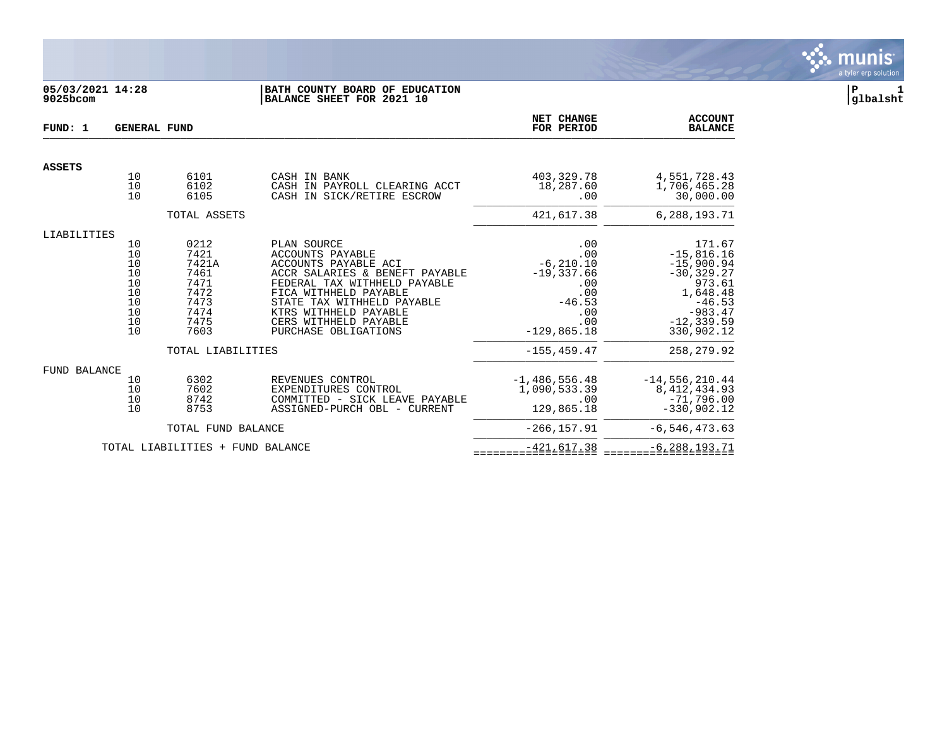

# **05/03/2021 14:28 |BATH COUNTY BOARD OF EDUCATION |P 1 9025bcom |BALANCE SHEET FOR 2021 10 |glbalsht**

| FUND: 1             | <b>GENERAL FUND</b>                                      |                                                                                                    |                                                                                                                                                                                                                                                            | <b>NET CHANGE</b><br>FOR PERIOD                                                                                       | <b>ACCOUNT</b><br><b>BALANCE</b>                                                                                                                     |
|---------------------|----------------------------------------------------------|----------------------------------------------------------------------------------------------------|------------------------------------------------------------------------------------------------------------------------------------------------------------------------------------------------------------------------------------------------------------|-----------------------------------------------------------------------------------------------------------------------|------------------------------------------------------------------------------------------------------------------------------------------------------|
| <b>ASSETS</b>       |                                                          |                                                                                                    |                                                                                                                                                                                                                                                            |                                                                                                                       |                                                                                                                                                      |
|                     | 10<br>10<br>10                                           | 6101<br>6102<br>6105                                                                               | CASH IN BANK<br>CASH IN PAYROLL CLEARING ACCT<br>CASH IN SICK/RETIRE ESCROW                                                                                                                                                                                | 403,329.78<br>18,287.60<br>.00                                                                                        | 4,551,728.43<br>1,706,465.28<br>30,000.00                                                                                                            |
|                     |                                                          | TOTAL ASSETS                                                                                       |                                                                                                                                                                                                                                                            | 421,617.38                                                                                                            | 6,288,193.71                                                                                                                                         |
| LIABILITIES         | 10<br>10<br>10<br>10<br>10<br>10<br>10<br>10<br>10<br>10 | 0212<br>7421<br>7421A<br>7461<br>7471<br>7472<br>7473<br>7474<br>7475<br>7603<br>TOTAL LIABILITIES | PLAN SOURCE<br>ACCOUNTS PAYABLE<br>ACCOUNTS PAYABLE ACI<br>ACCR SALARIES & BENEFT PAYABLE<br>FEDERAL TAX WITHHELD PAYABLE<br>FICA WITHHELD PAYABLE<br>STATE TAX WITHHELD PAYABLE<br>KTRS WITHHELD PAYABLE<br>CERS WITHHELD PAYABLE<br>PURCHASE OBLIGATIONS | .00<br>.00<br>$-6, 210.10$<br>$-19,337.66$<br>.00<br>.00<br>$-46.53$<br>.00<br>.00<br>$-129.865.18$<br>$-155, 459.47$ | 171.67<br>$-15,816.16$<br>$-15,900.94$<br>$-30, 329.27$<br>973.61<br>1,648.48<br>$-46.53$<br>$-983.47$<br>$-12, 339.59$<br>330,902.12<br>258, 279.92 |
| <b>FUND BALANCE</b> | 10<br>10<br>10<br>10                                     | 6302<br>7602<br>8742<br>8753<br>TOTAL FUND BALANCE                                                 | REVENUES CONTROL<br>EXPENDITURES CONTROL<br>COMMITTED - SICK LEAVE PAYABLE<br>ASSIGNED-PURCH OBL - CURRENT                                                                                                                                                 | $-1,486,556.48$<br>1,090,533.39<br>.00<br>129,865.18<br>$-266, 157.91$                                                | $-14,556,210.44$<br>8, 412, 434.93<br>$-71,796.00$<br>$-330,902.12$<br>$-6, 546, 473.63$                                                             |
|                     |                                                          | TOTAL LIABILITIES + FUND BALANCE                                                                   |                                                                                                                                                                                                                                                            | $-421,617.38$                                                                                                         | $-6, 288, 193.71$                                                                                                                                    |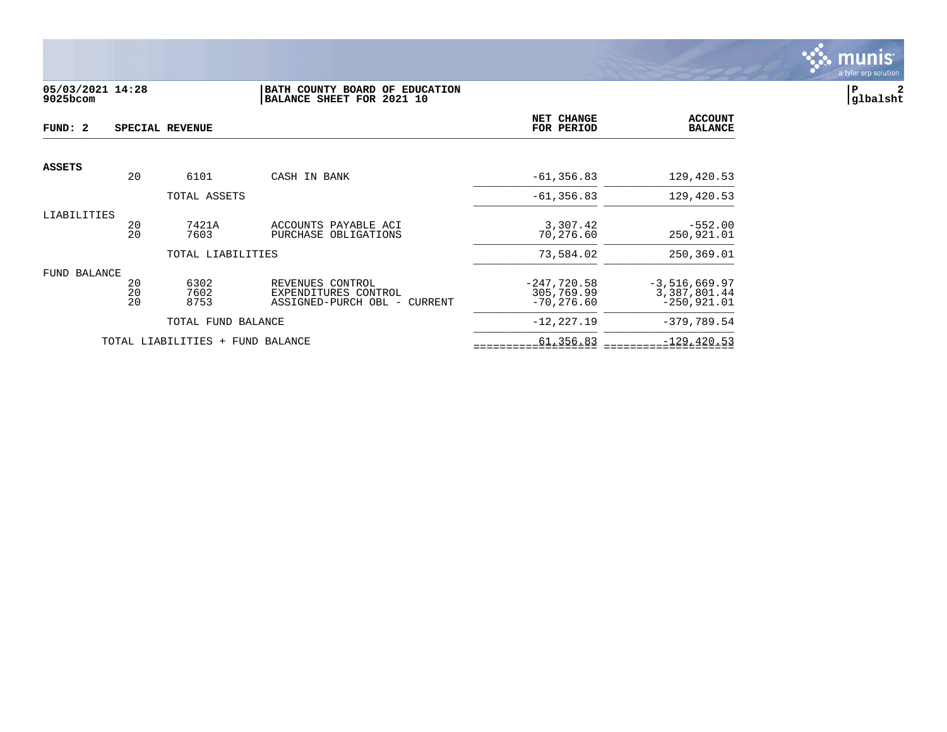

# **05/03/2021 14:28 |BATH COUNTY BOARD OF EDUCATION |P 2 9025bcom |BALANCE SHEET FOR 2021 10 |glbalsht**

| FUND: 2             |                | SPECIAL REVENUE                  |                                                                          | NET CHANGE<br>FOR PERIOD                     | <b>ACCOUNT</b><br><b>BALANCE</b>                  |
|---------------------|----------------|----------------------------------|--------------------------------------------------------------------------|----------------------------------------------|---------------------------------------------------|
| <b>ASSETS</b>       |                |                                  |                                                                          |                                              |                                                   |
|                     | 20             | 6101                             | CASH IN BANK                                                             | $-61, 356.83$                                | 129,420.53                                        |
|                     |                | TOTAL ASSETS                     |                                                                          | $-61, 356.83$                                | 129,420.53                                        |
| LIABILITIES         | 20<br>20       | 7421A<br>7603                    | ACCOUNTS PAYABLE ACI<br>PURCHASE OBLIGATIONS                             | 3,307.42<br>70,276.60                        | $-552.00$<br>250,921.01                           |
|                     |                | TOTAL LIABILITIES                |                                                                          | 73,584.02                                    | 250,369.01                                        |
| <b>FUND BALANCE</b> | 20<br>20<br>20 | 6302<br>7602<br>8753             | REVENUES CONTROL<br>EXPENDITURES CONTROL<br>ASSIGNED-PURCH OBL - CURRENT | $-247,720.58$<br>305,769.99<br>$-70, 276.60$ | $-3,516,669.97$<br>3,387,801.44<br>$-250, 921.01$ |
|                     |                | TOTAL FUND BALANCE               |                                                                          | $-12, 227.19$                                | $-379,789.54$                                     |
|                     |                | TOTAL LIABILITIES + FUND BALANCE |                                                                          | 61,356.83                                    | $-129, 420.53$                                    |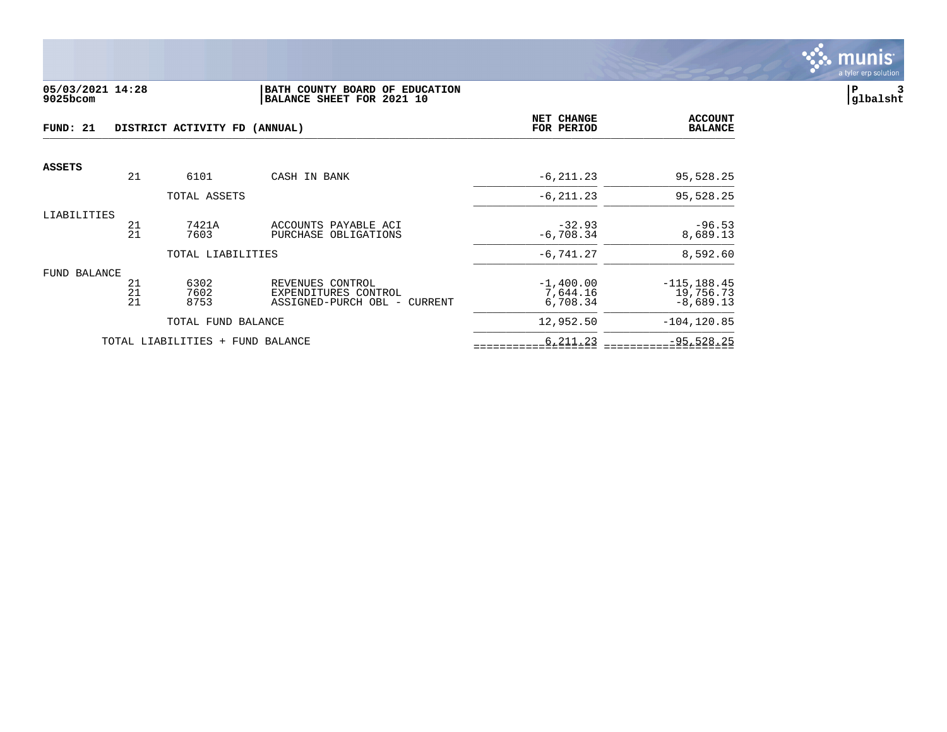

### **05/03/2021 14:28 |BATH COUNTY BOARD OF EDUCATION |P 3 9025bcom |BALANCE SHEET FOR 2021 10 |glbalsht**

| FUND: 21      |          | DISTRICT ACTIVITY FD (ANNUAL)    | <b>NET CHANGE</b><br>FOR PERIOD                      | <b>ACCOUNT</b><br><b>BALANCE</b> |                          |
|---------------|----------|----------------------------------|------------------------------------------------------|----------------------------------|--------------------------|
| <b>ASSETS</b> |          |                                  |                                                      |                                  |                          |
|               | 21       | 6101                             | CASH IN BANK                                         | $-6, 211.23$                     | 95,528.25                |
|               |          | TOTAL ASSETS                     |                                                      | $-6, 211.23$                     | 95,528.25                |
| LIABILITIES   |          |                                  |                                                      |                                  |                          |
|               | 21<br>21 | 7421A<br>7603                    | ACCOUNTS PAYABLE ACI<br>PURCHASE OBLIGATIONS         | $-32.93$<br>$-6,708.34$          | $-96.53$<br>8,689.13     |
|               |          | TOTAL LIABILITIES                |                                                      | $-6,741.27$                      | 8,592.60                 |
| FUND BALANCE  |          |                                  |                                                      |                                  |                          |
|               | 21       | 6302                             | REVENUES CONTROL                                     | $-1,400.00$                      | $-115, 188.45$           |
|               | 21<br>21 | 7602<br>8753                     | EXPENDITURES CONTROL<br>ASSIGNED-PURCH OBL - CURRENT | 7,644.16<br>6,708.34             | 19,756.73<br>$-8,689.13$ |
|               |          | TOTAL FUND BALANCE               |                                                      | 12,952.50                        | $-104, 120.85$           |
|               |          | TOTAL LIABILITIES + FUND BALANCE |                                                      | 6,211.23                         | $-95,528.25$             |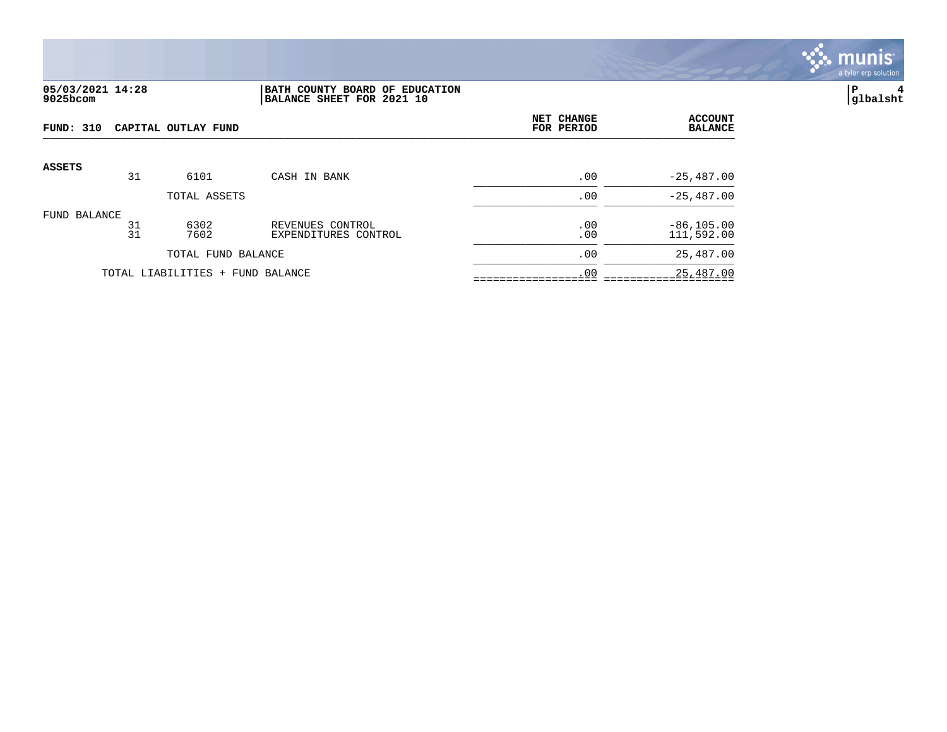

# **05/03/2021 14:28 |BATH COUNTY BOARD OF EDUCATION |P 4 9025bcom |BALANCE SHEET FOR 2021 10 |glbalsht**

| FUND: 310<br>CAPITAL OUTLAY FUND |          |                                  |                                          | NET CHANGE<br>FOR PERIOD | <b>ACCOUNT</b><br><b>BALANCE</b> |
|----------------------------------|----------|----------------------------------|------------------------------------------|--------------------------|----------------------------------|
| <b>ASSETS</b>                    |          |                                  |                                          |                          |                                  |
|                                  | 31       | 6101                             | CASH IN BANK                             | .00                      | $-25,487.00$                     |
|                                  |          | TOTAL ASSETS                     |                                          | .00                      | $-25,487.00$                     |
| FUND BALANCE                     | 31<br>31 | 6302<br>7602                     | REVENUES CONTROL<br>EXPENDITURES CONTROL | .00<br>.00               | $-86, 105.00$<br>111,592.00      |
|                                  |          | TOTAL FUND BALANCE               |                                          | .00                      | 25,487.00                        |
|                                  |          | TOTAL LIABILITIES + FUND BALANCE |                                          | .00                      | 25,487.00                        |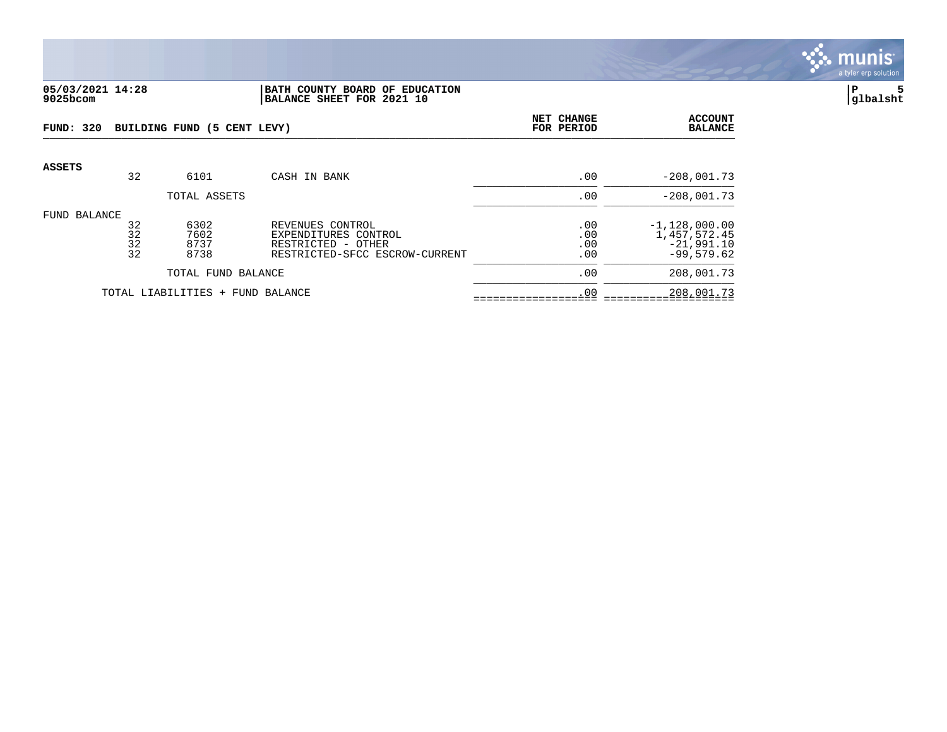

#### **05/03/2021 14:28 |BATH COUNTY BOARD OF EDUCATION |P 5 9025bcom |BALANCE SHEET FOR 2021 10 |glbalsht**

| <b>FUND: 320</b>   |                      | BUILDING FUND (5 CENT LEVY)  | NET CHANGE<br>FOR PERIOD                                                                         | <b>ACCOUNT</b><br><b>BALANCE</b> |                                                                 |
|--------------------|----------------------|------------------------------|--------------------------------------------------------------------------------------------------|----------------------------------|-----------------------------------------------------------------|
| <b>ASSETS</b>      | 32                   | 6101                         | CASH IN BANK                                                                                     | .00                              | $-208,001.73$                                                   |
|                    |                      | TOTAL ASSETS                 |                                                                                                  | .00                              | $-208,001.73$                                                   |
| FUND BALANCE       | 32<br>32<br>32<br>32 | 6302<br>7602<br>8737<br>8738 | REVENUES CONTROL<br>EXPENDITURES CONTROL<br>RESTRICTED - OTHER<br>RESTRICTED-SFCC ESCROW-CURRENT | .00<br>.00<br>.00<br>.00         | $-1,128,000.00$<br>1,457,572.45<br>$-21,991.10$<br>$-99,579.62$ |
| TOTAL FUND BALANCE |                      |                              |                                                                                                  | .00                              | 208,001.73                                                      |
|                    |                      | TOTAL LIABILITIES +          | FUND BALANCE                                                                                     | .00                              | 208,001.73                                                      |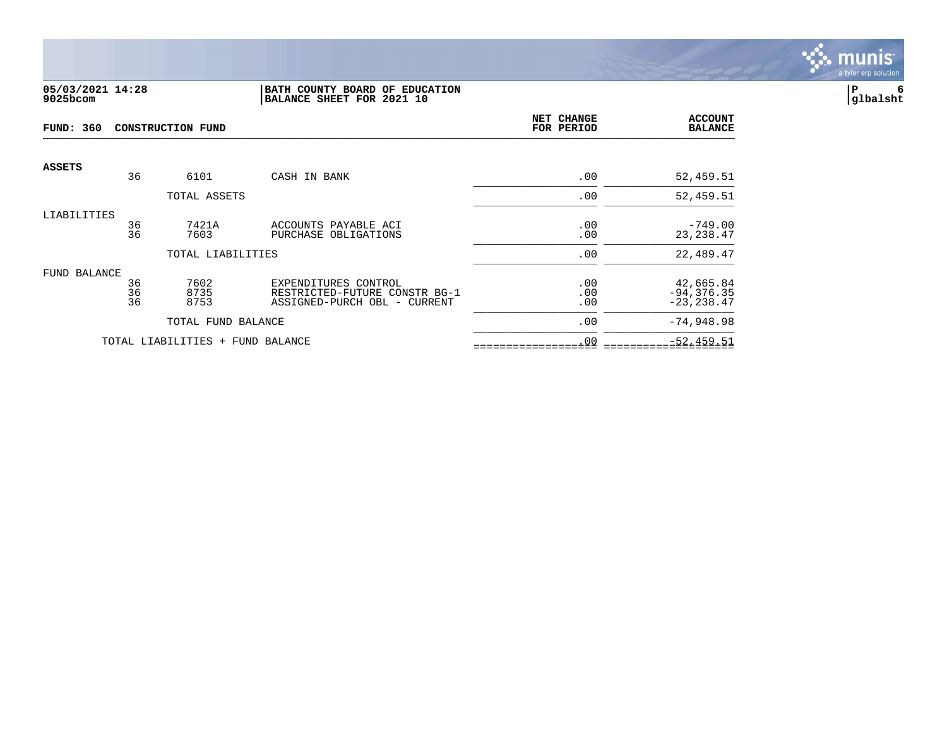

### **05/03/2021 14:28 |BATH COUNTY BOARD OF EDUCATION |P 6 9025bcom |BALANCE SHEET FOR 2021 10 |glbalsht**

| <b>FUND: 360</b> |          | <b>CONSTRUCTION FUND</b>         | NET CHANGE<br>FOR PERIOD                                      | <b>ACCOUNT</b><br><b>BALANCE</b> |                                |
|------------------|----------|----------------------------------|---------------------------------------------------------------|----------------------------------|--------------------------------|
| <b>ASSETS</b>    | 36       | 6101                             | CASH IN BANK                                                  | .00                              | 52,459.51                      |
|                  |          |                                  |                                                               |                                  |                                |
|                  |          | TOTAL ASSETS                     |                                                               | .00                              | 52,459.51                      |
| LIABILITIES      | 36       | 7421A                            | ACCOUNTS PAYABLE ACI                                          | .00                              | $-749.00$                      |
|                  | 36       | 7603                             | PURCHASE OBLIGATIONS                                          | .00                              | 23, 238.47                     |
|                  |          | TOTAL LIABILITIES                |                                                               | .00                              | 22,489.47                      |
| FUND BALANCE     |          |                                  |                                                               |                                  |                                |
|                  | 36       | 7602                             | EXPENDITURES CONTROL                                          | .00                              | 42,665.84                      |
|                  | 36<br>36 | 8735<br>8753                     | RESTRICTED-FUTURE CONSTR BG-1<br>ASSIGNED-PURCH OBL - CURRENT | .00<br>.00                       | $-94, 376.35$<br>$-23, 238.47$ |
|                  |          | TOTAL FUND BALANCE               |                                                               | .00                              | $-74,948.98$                   |
|                  |          | TOTAL LIABILITIES + FUND BALANCE |                                                               | .00                              | $-52, 459.51$                  |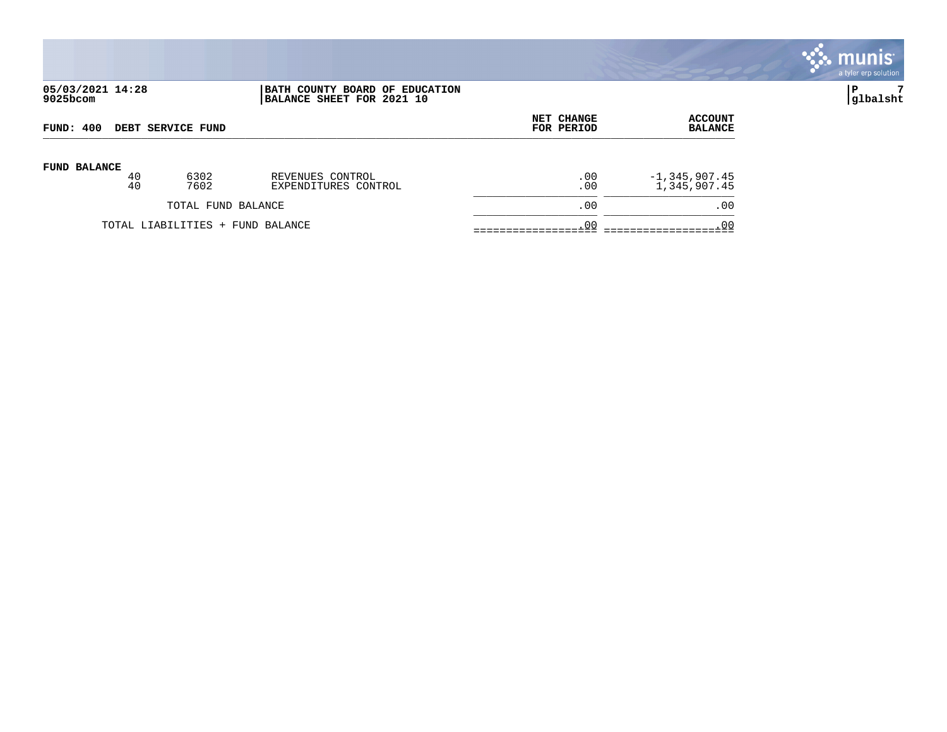|                              |          |                                  |                                                             |                          |                                   | munis <sup>®</sup><br>a tyler erp solution |
|------------------------------|----------|----------------------------------|-------------------------------------------------------------|--------------------------|-----------------------------------|--------------------------------------------|
| 05/03/2021 14:28<br>9025bcom |          |                                  | BATH COUNTY BOARD OF EDUCATION<br>BALANCE SHEET FOR 2021 10 |                          |                                   | P<br> glbalsht                             |
| FUND: 400                    |          | DEBT SERVICE FUND                |                                                             | NET CHANGE<br>FOR PERIOD | <b>ACCOUNT</b><br><b>BALANCE</b>  |                                            |
| <b>FUND BALANCE</b>          | 40<br>40 | 6302<br>7602                     | REVENUES CONTROL<br>EXPENDITURES CONTROL                    | .00<br>.00               | $-1, 345, 907.45$<br>1,345,907.45 |                                            |
|                              |          | TOTAL FUND BALANCE               |                                                             | .00                      | .00                               |                                            |
|                              |          | TOTAL LIABILITIES + FUND BALANCE |                                                             | .00                      | .00                               |                                            |

 $\mathcal{L}$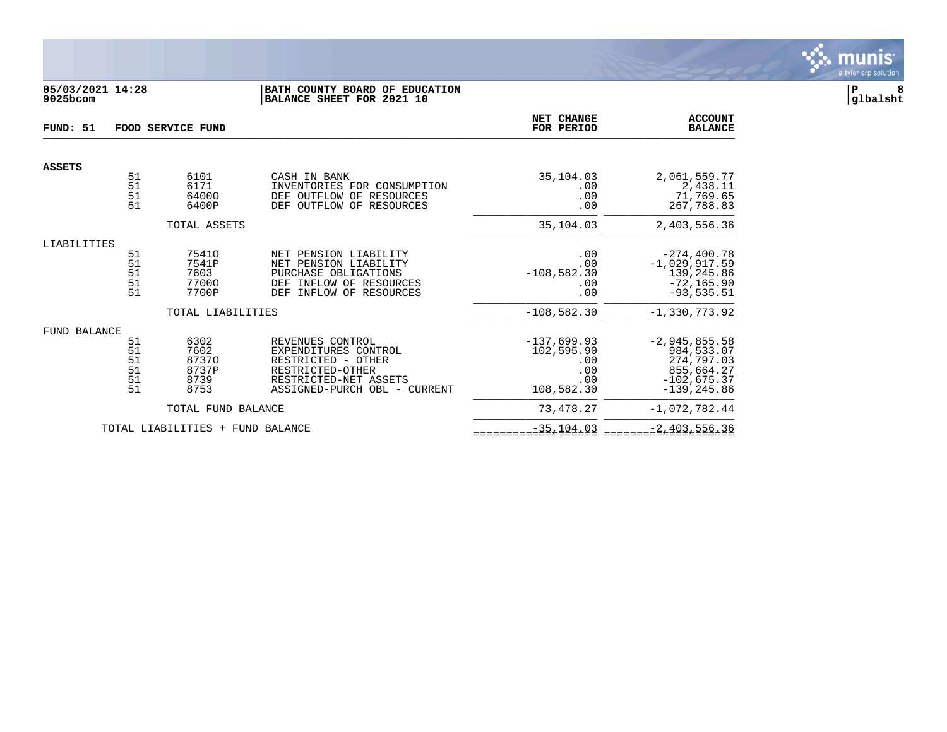

## **05/03/2021 14:28 |BATH COUNTY BOARD OF EDUCATION |P 8 9025bcom |BALANCE SHEET FOR 2021 10 |glbalsht**

| FUND: 51      |                                                                  | FOOD SERVICE FUND                              |                                                                                                                                              | NET CHANGE<br>FOR PERIOD                                       | <b>ACCOUNT</b><br><b>BALANCE</b>                                                             |
|---------------|------------------------------------------------------------------|------------------------------------------------|----------------------------------------------------------------------------------------------------------------------------------------------|----------------------------------------------------------------|----------------------------------------------------------------------------------------------|
| <b>ASSETS</b> |                                                                  |                                                |                                                                                                                                              |                                                                |                                                                                              |
|               | 51<br>$\frac{51}{51}$<br>51                                      | 6101<br>6171<br>64000<br>6400P                 | CASH IN BANK<br>INVENTORIES FOR CONSUMPTION<br>DEF OUTFLOW OF RESOURCES<br>OUTFLOW OF RESOURCES<br><b>DEF</b>                                | 35,104.03<br>.00<br>.00<br>.00                                 | 2,061,559.77<br>2,438.11<br>71,769.65<br>267,788.83                                          |
|               |                                                                  | TOTAL ASSETS                                   |                                                                                                                                              | 35,104.03                                                      | 2,403,556.36                                                                                 |
| LIABILITIES   |                                                                  |                                                |                                                                                                                                              |                                                                |                                                                                              |
|               | $\begin{array}{c} 51 \\ 51 \end{array}$<br>51<br>$\frac{51}{51}$ | 75410<br>7541P<br>7603<br>77000<br>7700P       | PENSION LIABILITY<br>NET<br>NET PENSION LIABILITY<br>PURCHASE OBLIGATIONS<br>INFLOW OF RESOURCES<br>DEF<br>INFLOW OF RESOURCES<br><b>DEF</b> | .00<br>.00<br>$-108,582.30$<br>.00<br>.00                      | $-274, 400.78$<br>$-1,029,917.59$<br>139,245.86<br>$-72, 165.90$<br>$-93,535.51$             |
|               |                                                                  | TOTAL LIABILITIES                              |                                                                                                                                              | $-108,582.30$                                                  | $-1, 330, 773.92$                                                                            |
| FUND BALANCE  |                                                                  |                                                |                                                                                                                                              |                                                                |                                                                                              |
|               | 51<br>$\frac{51}{51}$<br>51<br>$\frac{51}{51}$                   | 6302<br>7602<br>87370<br>8737P<br>8739<br>8753 | REVENUES CONTROL<br>EXPENDITURES CONTROL<br>RESTRICTED - OTHER<br>RESTRICTED-OTHER<br>RESTRICTED-NET ASSETS<br>ASSIGNED-PURCH OBL - CURRENT  | $-137,699.93$<br>102,595.90<br>.00<br>.00<br>.00<br>108,582.30 | $-2,945,855.58$<br>984,533.07<br>274,797.03<br>855,664.27<br>$-102,675.37$<br>$-139, 245.86$ |
|               |                                                                  | TOTAL FUND BALANCE                             |                                                                                                                                              | 73,478.27                                                      | $-1,072,782.44$                                                                              |
|               |                                                                  | TOTAL LIABILITIES + FUND BALANCE               |                                                                                                                                              | $-35, 104.03$                                                  | $-2,403,556.36$                                                                              |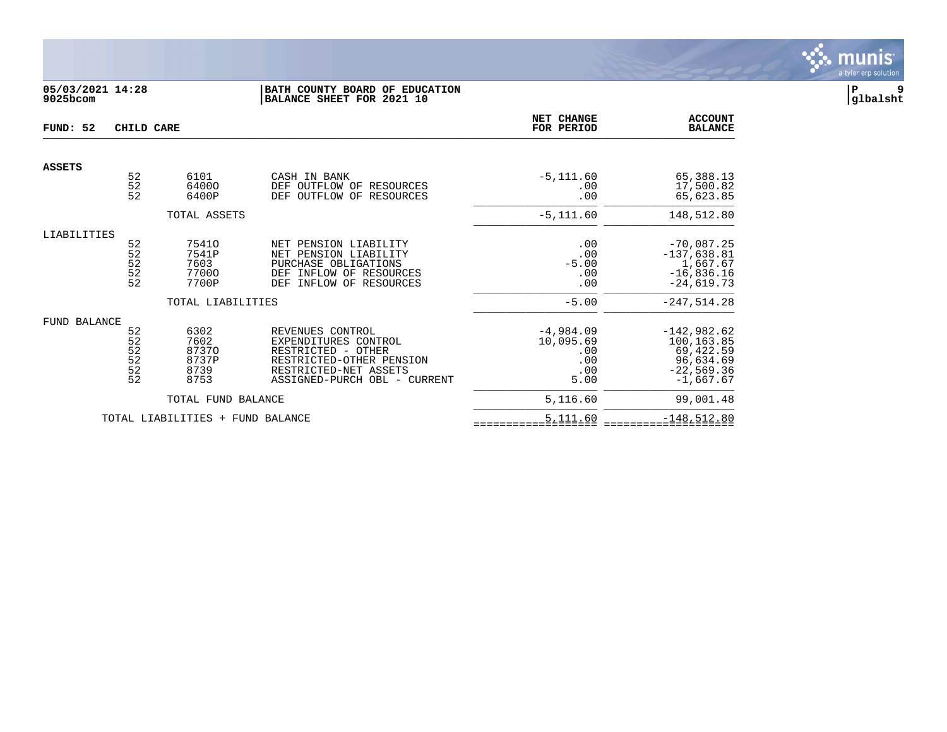

# **05/03/2021 14:28 |BATH COUNTY BOARD OF EDUCATION |P 9 9025bcom |BALANCE SHEET FOR 2021 10 |glbalsht**

| FUND: 52            | CHILD CARE                                    |                                                                     |                                                                                                                                                     | NET CHANGE<br>FOR PERIOD                                         | <b>ACCOUNT</b><br><b>BALANCE</b>                                                                      |
|---------------------|-----------------------------------------------|---------------------------------------------------------------------|-----------------------------------------------------------------------------------------------------------------------------------------------------|------------------------------------------------------------------|-------------------------------------------------------------------------------------------------------|
| <b>ASSETS</b>       |                                               |                                                                     |                                                                                                                                                     |                                                                  |                                                                                                       |
|                     | $\begin{array}{c} 52 \\ 52 \end{array}$<br>52 | 6101<br>64000<br>6400P                                              | CASH IN BANK<br>DEF OUTFLOW OF<br>RESOURCES<br>OUTFLOW OF<br>RESOURCES<br><b>DEF</b>                                                                | $-5, 111.60$<br>.00<br>.00                                       | 65,388.13<br>17,500.82<br>65,623.85                                                                   |
|                     |                                               | TOTAL ASSETS                                                        |                                                                                                                                                     | $-5, 111.60$                                                     | 148,512.80                                                                                            |
| LIABILITIES         | 52<br>$\frac{5}{2}$<br>$\frac{5}{2}$          | 75410<br>7541P<br>7603<br>77000<br>7700P                            | NET PENSION LIABILITY<br>NET PENSION LIABILITY<br>PURCHASE OBLIGATIONS<br>INFLOW OF RESOURCES<br>DEF<br>INFLOW OF RESOURCES<br>DEF                  | .00<br>.00<br>$-5.00$<br>.00<br>.00                              | $-70,087.25$<br>$-137,638.81$<br>1,667.67<br>$-16,836.16$<br>$-24,619.73$                             |
| <b>FUND BALANCE</b> | 52<br>52<br>$\frac{52}{52}$<br>$\frac{5}{2}$  | TOTAL LIABILITIES<br>6302<br>7602<br>87370<br>8737P<br>8739<br>8753 | REVENUES CONTROL<br>EXPENDITURES CONTROL<br>RESTRICTED - OTHER<br>RESTRICTED-OTHER PENSION<br>RESTRICTED-NET ASSETS<br>ASSIGNED-PURCH OBL - CURRENT | $-5.00$<br>$-4,984.09$<br>10,095.69<br>.00<br>.00<br>.00<br>5.00 | $-247,514.28$<br>$-142,982.62$<br>100,163.85<br>69,422.59<br>96,634.69<br>$-22,569.36$<br>$-1,667.67$ |
|                     |                                               | TOTAL FUND BALANCE                                                  |                                                                                                                                                     | 5,116.60                                                         | 99,001.48                                                                                             |
|                     |                                               | TOTAL LIABILITIES + FUND BALANCE                                    |                                                                                                                                                     | 5,111.60                                                         | $-148,512.80$                                                                                         |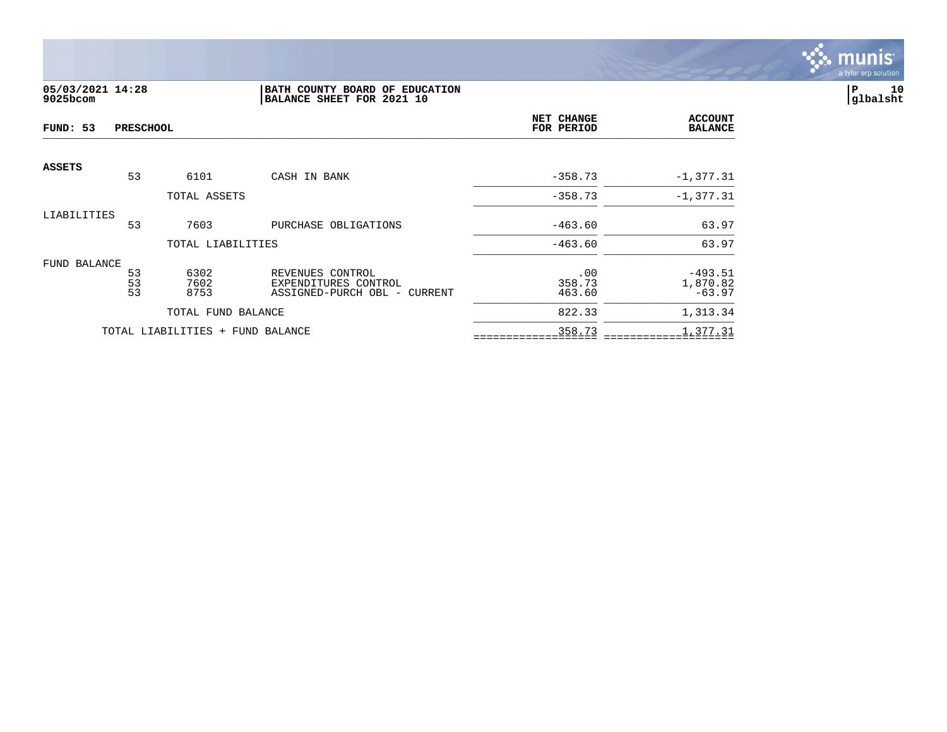

# **05/03/2021 14:28 |BATH COUNTY BOARD OF EDUCATION |P 10 9025bcom |BALANCE SHEET FOR 2021 10 |glbalsht**

| FUND: 53<br><b>PRESCHOOL</b> |                       |                                  |                                                                          | NET CHANGE<br>FOR PERIOD | <b>ACCOUNT</b><br><b>BALANCE</b>  |
|------------------------------|-----------------------|----------------------------------|--------------------------------------------------------------------------|--------------------------|-----------------------------------|
| <b>ASSETS</b>                | 53                    | 6101                             | CASH IN BANK                                                             | $-358.73$                | $-1, 377.31$                      |
|                              |                       | TOTAL ASSETS                     |                                                                          | $-358.73$                | $-1, 377.31$                      |
| LIABILITIES                  | 53                    | 7603                             | PURCHASE OBLIGATIONS                                                     | $-463.60$                | 63.97                             |
|                              |                       | TOTAL LIABILITIES                |                                                                          | $-463.60$                | 63.97                             |
| FUND BALANCE                 | 53<br>$\frac{53}{53}$ | 6302<br>7602<br>8753             | REVENUES CONTROL<br>EXPENDITURES CONTROL<br>ASSIGNED-PURCH OBL - CURRENT | .00<br>358.73<br>463.60  | $-493.51$<br>1,870.82<br>$-63.97$ |
|                              |                       | TOTAL FUND BALANCE               |                                                                          | 822.33                   | 1,313.34                          |
|                              |                       | TOTAL LIABILITIES + FUND BALANCE |                                                                          | 358.73                   | 1,377.31                          |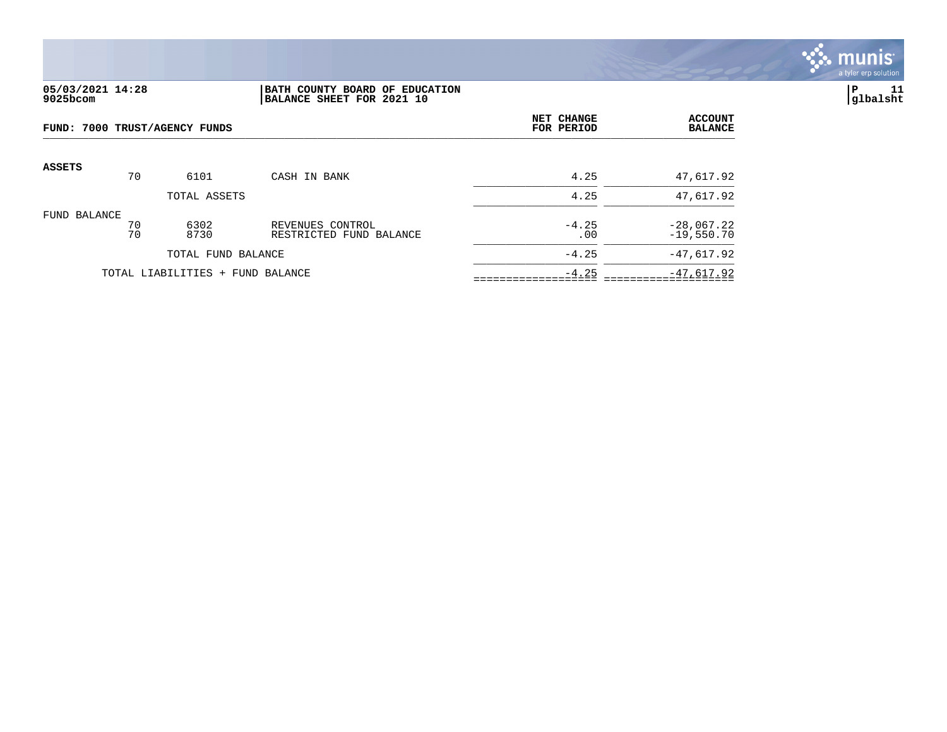

# **05/03/2021 14:28 |BATH COUNTY BOARD OF EDUCATION |P 11 9025bcom |BALANCE SHEET FOR 2021 10 |glbalsht**

| FUND: 7000 TRUST/AGENCY FUNDS |          |                                  |                                             | NET CHANGE<br>FOR PERIOD | <b>ACCOUNT</b><br><b>BALANCE</b> |
|-------------------------------|----------|----------------------------------|---------------------------------------------|--------------------------|----------------------------------|
| <b>ASSETS</b>                 | 70       | 6101                             | CASH IN BANK                                | 4.25                     | 47,617.92                        |
|                               |          | TOTAL ASSETS                     |                                             | 4.25                     | 47,617.92                        |
| FUND BALANCE                  | 70<br>70 | 6302<br>8730                     | REVENUES CONTROL<br>RESTRICTED FUND BALANCE | $-4.25$<br>.00           | $-28,067.22$<br>$-19,550.70$     |
|                               |          | TOTAL FUND BALANCE               |                                             | $-4.25$                  | $-47,617.92$                     |
|                               |          | TOTAL LIABILITIES + FUND BALANCE |                                             | $-4.25$                  | $-47,617.92$                     |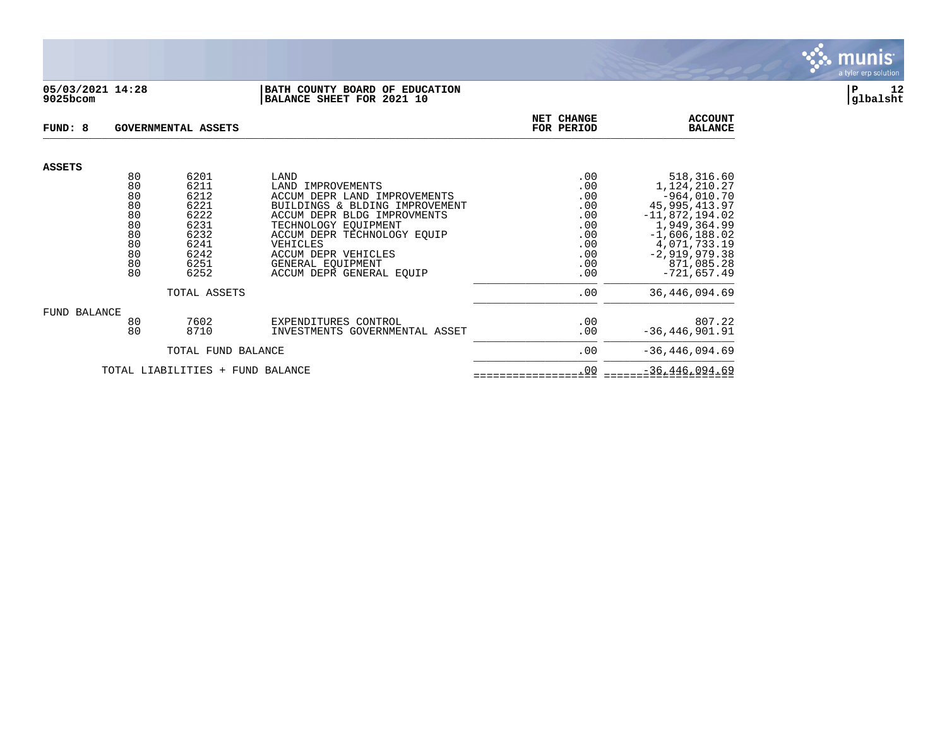

### **05/03/2021 14:28 |BATH COUNTY BOARD OF EDUCATION |P 12 9025bcom |BALANCE SHEET FOR 2021 10 |glbalsht**

| FUND: 8       |          | <b>GOVERNMENTAL ASSETS</b>       |                                                               | NET CHANGE<br>FOR PERIOD | <b>ACCOUNT</b><br><b>BALANCE</b>    |
|---------------|----------|----------------------------------|---------------------------------------------------------------|--------------------------|-------------------------------------|
| <b>ASSETS</b> |          |                                  |                                                               |                          |                                     |
|               | 80       | 6201                             | LAND                                                          | .00                      | 518,316.60                          |
|               | 80       | 6211                             | LAND<br>IMPROVEMENTS                                          | .00                      | 1,124,210.27                        |
|               | 80<br>80 | 6212<br>6221                     | ACCUM DEPR LAND IMPROVEMENTS                                  | .00                      | $-964,010.70$                       |
|               | 80       | 6222                             | BUILDINGS & BLDING IMPROVEMENT<br>ACCUM DEPR BLDG IMPROVMENTS | .00<br>.00               | 45, 995, 413.97<br>$-11,872,194.02$ |
|               | 80       | 6231                             | TECHNOLOGY EOUIPMENT                                          | .00                      | 1,949,364.99                        |
|               | 80       | 6232                             | ACCUM DEPR TECHNOLOGY EOUIP                                   | .00                      | $-1,606,188.02$                     |
|               | 80       | 6241                             | VEHICLES                                                      | .00                      | 4,071,733.19                        |
|               | 80       | 6242                             | ACCUM DEPR VEHICLES                                           | .00                      | $-2,919,979.38$                     |
|               | 80       | 6251                             | GENERAL EOUIPMENT                                             | .00                      | 871,085.28                          |
|               | 80       | 6252                             | ACCUM DEPR GENERAL EOUIP                                      | .00                      | $-721,657.49$                       |
|               |          | TOTAL ASSETS                     |                                                               | .00                      | 36, 446, 094.69                     |
| FUND BALANCE  |          |                                  |                                                               |                          |                                     |
|               | 80       | 7602                             | EXPENDITURES CONTROL                                          | .00                      | 807.22                              |
|               | 80       | 8710                             | INVESTMENTS GOVERNMENTAL ASSET                                | .00                      | $-36, 446, 901.91$                  |
|               |          | TOTAL FUND BALANCE               |                                                               | .00                      | $-36, 446, 094.69$                  |
|               |          | TOTAL LIABILITIES + FUND BALANCE |                                                               | .00                      | $-36, 446, 094.69$                  |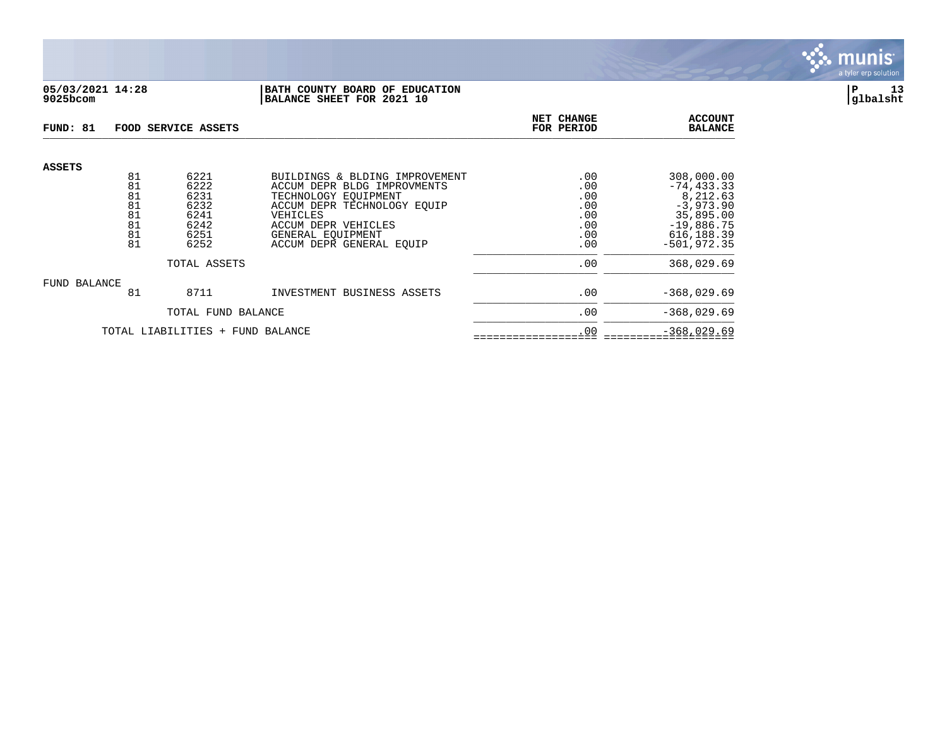

### **05/03/2021 14:28 |BATH COUNTY BOARD OF EDUCATION |P 13 9025bcom |BALANCE SHEET FOR 2021 10 |glbalsht**

| FUND: 81                         |                                  | FOOD SERVICE ASSETS                          |                                                                                                                                         | NET CHANGE<br>FOR PERIOD               | <b>ACCOUNT</b><br><b>BALANCE</b>                                                     |
|----------------------------------|----------------------------------|----------------------------------------------|-----------------------------------------------------------------------------------------------------------------------------------------|----------------------------------------|--------------------------------------------------------------------------------------|
| <b>ASSETS</b>                    | 81<br>81                         | 6221<br>6222                                 | BUILDINGS & BLDING IMPROVEMENT<br>ACCUM DEPR BLDG IMPROVMENTS                                                                           | .00<br>.00                             | 308,000.00<br>$-74, 433.33$                                                          |
|                                  | 81<br>81<br>81<br>81<br>81<br>81 | 6231<br>6232<br>6241<br>6242<br>6251<br>6252 | TECHNOLOGY EOUIPMENT<br>ACCUM DEPR TECHNOLOGY EOUIP<br>VEHICLES<br>ACCUM DEPR VEHICLES<br>GENERAL EOUIPMENT<br>ACCUM DEPR GENERAL EQUIP | .00<br>.00<br>.00<br>.00<br>.00<br>.00 | 8,212.63<br>$-3,973.90$<br>35,895.00<br>$-19,886.75$<br>616, 188.39<br>$-501.972.35$ |
| TOTAL ASSETS                     |                                  |                                              |                                                                                                                                         | .00                                    | 368,029.69                                                                           |
| FUND BALANCE                     | 81                               | 8711                                         | INVESTMENT BUSINESS ASSETS                                                                                                              | .00                                    | $-368,029.69$                                                                        |
|                                  | TOTAL FUND BALANCE               |                                              |                                                                                                                                         | .00                                    | $-368,029.69$                                                                        |
| TOTAL LIABILITIES + FUND BALANCE |                                  |                                              |                                                                                                                                         | .00                                    | $-368,029.69$                                                                        |